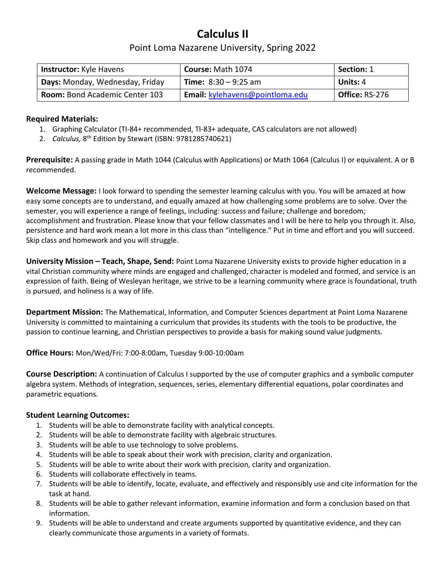## Calculus II

## Point Loma Nazarene University, Spring 2022

| <b>Instructor:</b> Kyle Havens        | <b>Course: Math 1074</b>        | <b>Section: 1</b>     |
|---------------------------------------|---------------------------------|-----------------------|
| Days: Monday, Wednesday, Friday       | <b>Time:</b> $8:30 - 9:25$ am   | Units: 4              |
| <b>Room: Bond Academic Center 103</b> | Email: kylehavens@pointloma.edu | <b>Office: RS-276</b> |

#### Required Materials:

- 1. Graphing Calculator (TI-84+ recommended, TI-83+ adequate, CAS calculators are not allowed)
- 2. Calculus, 8<sup>th</sup> Edition by Stewart (ISBN: 9781285740621)

Prerequisite: A passing grade in Math 1044 (Calculus with Applications) or Math 1064 (Calculus I) or equivalent. A or B recommended.

Welcome Message: I look forward to spending the semester learning calculus with you. You will be amazed at how easy some concepts are to understand, and equally amazed at how challenging some problems are to solve. Over the semester, you will experience a range of feelings, including: success and failure; challenge and boredom; accomplishment and frustration. Please know that your fellow classmates and I will be here to help you through it. Also, persistence and hard work mean a lot more in this class than "intelligence." Put in time and effort and you will succeed. Skip class and homework and you will struggle.

University Mission – Teach, Shape, Send: Point Loma Nazarene University exists to provide higher education in a vital Christian community where minds are engaged and challenged, character is modeled and formed, and service is an expression of faith. Being of Wesleyan heritage, we strive to be a learning community where grace is foundational, truth is pursued, and holiness is a way of life.

Department Mission: The Mathematical, Information, and Computer Sciences department at Point Loma Nazarene University is committed to maintaining a curriculum that provides its students with the tools to be productive, the passion to continue learning, and Christian perspectives to provide a basis for making sound value judgments.

Office Hours: Mon/Wed/Fri: 7:00-8:00am, Tuesday 9:00-10:00am

**Course Description:** A continuation of Calculus I supported by the use of computer graphics and a symbolic computer algebra system. Methods of integration, sequences, series, elementary differential equations, polar coordinates and parametric equations.

#### Student Learning Outcomes:

- 1. Students will be able to demonstrate facility with analytical concepts.
- 2. Students will be able to demonstrate facility with algebraic structures.
- 3. Students will be able to use technology to solve problems.
- 4. Students will be able to speak about their work with precision, clarity and organization.
- 5. Students will be able to write about their work with precision, clarity and organization.
- 6. Students will collaborate effectively in teams.
- 7. Students will be able to identify, locate, evaluate, and effectively and responsibly use and cite information for the task at hand.
- 8. Students will be able to gather relevant information, examine information and form a conclusion based on that information.
- 9. Students will be able to understand and create arguments supported by quantitative evidence, and they can clearly communicate those arguments in a variety of formats.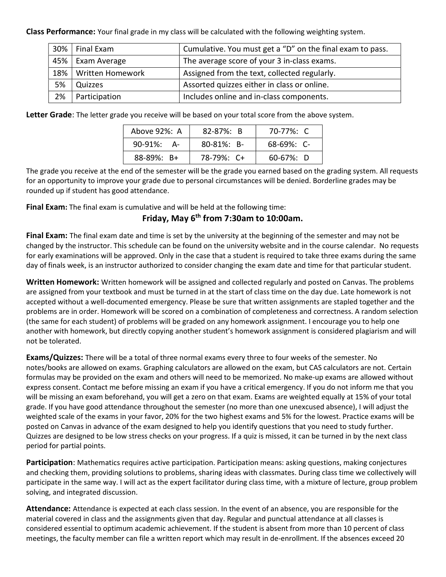Class Performance: Your final grade in my class will be calculated with the following weighting system.

| 30% | Final Exam       | Cumulative. You must get a "D" on the final exam to pass. |  |
|-----|------------------|-----------------------------------------------------------|--|
| 45% | Exam Average     | The average score of your 3 in-class exams.               |  |
| 18% | Written Homework | Assigned from the text, collected regularly.              |  |
| 5%  | Quizzes          | Assorted quizzes either in class or online.               |  |
| 2%  | Participation    | Includes online and in-class components.                  |  |

Letter Grade: The letter grade you receive will be based on your total score from the above system.

| Above 92%: A     | $82 - 87\%$ : B  | 70-77%: C       |
|------------------|------------------|-----------------|
| 90-91%:<br>- A   | $80 - 81\%$ : B- | $68-69\%$ : C-  |
| $88 - 89\%$ : B+ | $78-79\%$ : C+   | $60 - 67\%$ : D |

The grade you receive at the end of the semester will be the grade you earned based on the grading system. All requests for an opportunity to improve your grade due to personal circumstances will be denied. Borderline grades may be rounded up if student has good attendance.

Final Exam: The final exam is cumulative and will be held at the following time:

### Friday, May 6th from 7:30am to 10:00am.

Final Exam: The final exam date and time is set by the university at the beginning of the semester and may not be changed by the instructor. This schedule can be found on the university website and in the course calendar. No requests for early examinations will be approved. Only in the case that a student is required to take three exams during the same day of finals week, is an instructor authorized to consider changing the exam date and time for that particular student.

Written Homework: Written homework will be assigned and collected regularly and posted on Canvas. The problems are assigned from your textbook and must be turned in at the start of class time on the day due. Late homework is not accepted without a well-documented emergency. Please be sure that written assignments are stapled together and the problems are in order. Homework will be scored on a combination of completeness and correctness. A random selection (the same for each student) of problems will be graded on any homework assignment. I encourage you to help one another with homework, but directly copying another student's homework assignment is considered plagiarism and will not be tolerated.

Exams/Quizzes: There will be a total of three normal exams every three to four weeks of the semester. No notes/books are allowed on exams. Graphing calculators are allowed on the exam, but CAS calculators are not. Certain formulas may be provided on the exam and others will need to be memorized. No make-up exams are allowed without express consent. Contact me before missing an exam if you have a critical emergency. If you do not inform me that you will be missing an exam beforehand, you will get a zero on that exam. Exams are weighted equally at 15% of your total grade. If you have good attendance throughout the semester (no more than one unexcused absence), I will adjust the weighted scale of the exams in your favor, 20% for the two highest exams and 5% for the lowest. Practice exams will be posted on Canvas in advance of the exam designed to help you identify questions that you need to study further. Quizzes are designed to be low stress checks on your progress. If a quiz is missed, it can be turned in by the next class period for partial points.

Participation: Mathematics requires active participation. Participation means: asking questions, making conjectures and checking them, providing solutions to problems, sharing ideas with classmates. During class time we collectively will participate in the same way. I will act as the expert facilitator during class time, with a mixture of lecture, group problem solving, and integrated discussion.

Attendance: Attendance is expected at each class session. In the event of an absence, you are responsible for the material covered in class and the assignments given that day. Regular and punctual attendance at all classes is considered essential to optimum academic achievement. If the student is absent from more than 10 percent of class meetings, the faculty member can file a written report which may result in de-enrollment. If the absences exceed 20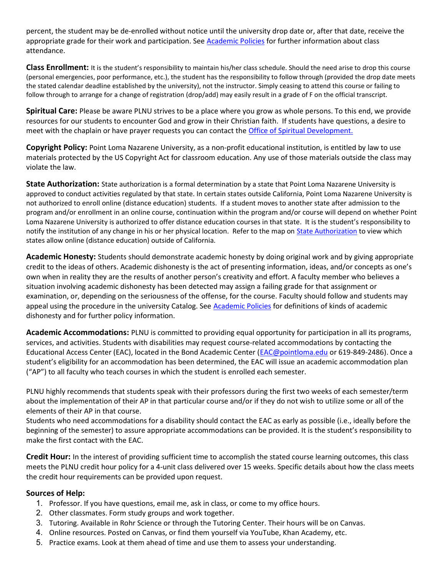percent, the student may be de-enrolled without notice until the university drop date or, after that date, receive the appropriate grade for their work and participation. See Academic Policies for further information about class attendance.

Class Enrollment: It is the student's responsibility to maintain his/her class schedule. Should the need arise to drop this course (personal emergencies, poor performance, etc.), the student has the responsibility to follow through (provided the drop date meets the stated calendar deadline established by the university), not the instructor. Simply ceasing to attend this course or failing to follow through to arrange for a change of registration (drop/add) may easily result in a grade of F on the official transcript.

Spiritual Care: Please be aware PLNU strives to be a place where you grow as whole persons. To this end, we provide resources for our students to encounter God and grow in their Christian faith. If students have questions, a desire to meet with the chaplain or have prayer requests you can contact the Office of Spiritual Development.

Copyright Policy: Point Loma Nazarene University, as a non-profit educational institution, is entitled by law to use materials protected by the US Copyright Act for classroom education. Any use of those materials outside the class may violate the law.

State Authorization: State authorization is a formal determination by a state that Point Loma Nazarene University is approved to conduct activities regulated by that state. In certain states outside California, Point Loma Nazarene University is not authorized to enroll online (distance education) students. If a student moves to another state after admission to the program and/or enrollment in an online course, continuation within the program and/or course will depend on whether Point Loma Nazarene University is authorized to offer distance education courses in that state. It is the student's responsibility to notify the institution of any change in his or her physical location. Refer to the map on State Authorization to view which states allow online (distance education) outside of California.

Academic Honesty: Students should demonstrate academic honesty by doing original work and by giving appropriate credit to the ideas of others. Academic dishonesty is the act of presenting information, ideas, and/or concepts as one's own when in reality they are the results of another person's creativity and effort. A faculty member who believes a situation involving academic dishonesty has been detected may assign a failing grade for that assignment or examination, or, depending on the seriousness of the offense, for the course. Faculty should follow and students may appeal using the procedure in the university Catalog. See Academic Policies for definitions of kinds of academic dishonesty and for further policy information.

Academic Accommodations: PLNU is committed to providing equal opportunity for participation in all its programs, services, and activities. Students with disabilities may request course-related accommodations by contacting the Educational Access Center (EAC), located in the Bond Academic Center (EAC@pointloma.edu or 619-849-2486). Once a student's eligibility for an accommodation has been determined, the EAC will issue an academic accommodation plan ("AP") to all faculty who teach courses in which the student is enrolled each semester.

PLNU highly recommends that students speak with their professors during the first two weeks of each semester/term about the implementation of their AP in that particular course and/or if they do not wish to utilize some or all of the elements of their AP in that course.

Students who need accommodations for a disability should contact the EAC as early as possible (i.e., ideally before the beginning of the semester) to assure appropriate accommodations can be provided. It is the student's responsibility to make the first contact with the EAC.

Credit Hour: In the interest of providing sufficient time to accomplish the stated course learning outcomes, this class meets the PLNU credit hour policy for a 4-unit class delivered over 15 weeks. Specific details about how the class meets the credit hour requirements can be provided upon request.

#### Sources of Help:

- 1. Professor. If you have questions, email me, ask in class, or come to my office hours.
- 2. Other classmates. Form study groups and work together.
- 3. Tutoring. Available in Rohr Science or through the Tutoring Center. Their hours will be on Canvas.
- 4. Online resources. Posted on Canvas, or find them yourself via YouTube, Khan Academy, etc.
- 5. Practice exams. Look at them ahead of time and use them to assess your understanding.